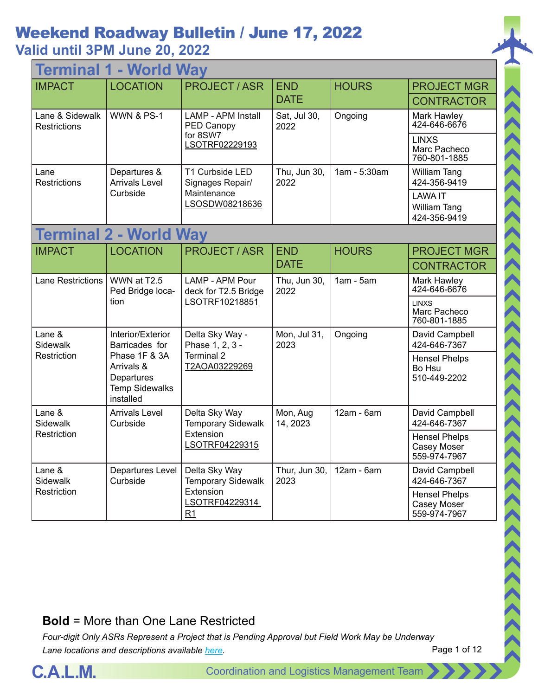# Weekend Roadway Bulletin / June 17, 2022

## **Valid until 3PM June 20, 2022**

| - World Way<br>Terminal                |                                                                                 |                                                                   |                       |                                                     |                                                       |
|----------------------------------------|---------------------------------------------------------------------------------|-------------------------------------------------------------------|-----------------------|-----------------------------------------------------|-------------------------------------------------------|
| <b>IMPACT</b>                          | <b>LOCATION</b>                                                                 | <b>PROJECT / ASR</b>                                              | <b>END</b>            | <b>HOURS</b>                                        | <b>PROJECT MGR</b>                                    |
|                                        |                                                                                 |                                                                   | <b>DATE</b>           |                                                     | <b>CONTRACTOR</b>                                     |
| Lane & Sidewalk<br><b>Restrictions</b> | <b>WWN &amp; PS-1</b>                                                           | <b>LAMP - APM Install</b><br>PED Canopy                           | Sat, Jul 30,<br>2022  | Ongoing                                             | Mark Hawley<br>424-646-6676                           |
|                                        |                                                                                 | for 8SW7<br>LSOTRF02229193                                        |                       |                                                     | <b>LINXS</b><br>Marc Pacheco<br>760-801-1885          |
| Lane<br><b>Restrictions</b>            | Departures &<br><b>Arrivals Level</b>                                           | T1 Curbside LED<br>Signages Repair/                               | Thu, Jun 30,<br>2022  | 1am - 5:30am                                        | <b>William Tang</b><br>424-356-9419                   |
|                                        | Curbside                                                                        | Maintenance<br>LSOSDW08218636                                     |                       |                                                     | <b>LAWA IT</b><br><b>William Tang</b><br>424-356-9419 |
|                                        | <b>Terminal 2 - World Way</b>                                                   |                                                                   |                       |                                                     |                                                       |
| <b>IMPACT</b>                          | <b>LOCATION</b>                                                                 | <b>PROJECT / ASR</b>                                              | <b>END</b>            | <b>HOURS</b>                                        | <b>PROJECT MGR</b>                                    |
|                                        |                                                                                 |                                                                   | <b>DATE</b>           |                                                     | <b>CONTRACTOR</b>                                     |
| <b>Lane Restrictions</b>               | WWN at T2.5<br>Ped Bridge loca-                                                 | LAMP - APM Pour<br>deck for T2.5 Bridge                           | Thu, Jun 30,<br>2022  | $1am - 5am$                                         | Mark Hawley<br>424-646-6676                           |
|                                        | tion                                                                            | LSOTRF10218851                                                    |                       |                                                     | <b>LINXS</b><br>Marc Pacheco<br>760-801-1885          |
| Lane &<br>Sidewalk                     | Interior/Exterior<br>Barricades for                                             | Delta Sky Way -<br>Phase 1, 2, 3 -<br>Terminal 2<br>T2AOA03229269 | Mon, Jul 31,<br>2023  | Ongoing                                             | David Campbell<br>424-646-7367                        |
| Restriction                            | Phase 1F & 3A<br>Arrivals &<br>Departures<br><b>Temp Sidewalks</b><br>installed |                                                                   |                       |                                                     | <b>Hensel Phelps</b><br>Bo Hsu<br>510-449-2202        |
| Lane &<br>Sidewalk                     | <b>Arrivals Level</b><br>Curbside                                               | Delta Sky Way<br><b>Temporary Sidewalk</b>                        | Mon, Aug<br>14, 2023  | 12am - 6am                                          | David Campbell<br>424-646-7367                        |
| Restriction                            | Extension<br>LSOTRF04229315                                                     |                                                                   |                       | <b>Hensel Phelps</b><br>Casey Moser<br>559-974-7967 |                                                       |
| Lane &<br>Sidewalk                     | <b>Departures Level</b><br>Curbside                                             | Delta Sky Way<br><b>Temporary Sidewalk</b>                        | Thur, Jun 30,<br>2023 | 12am - 6am                                          | David Campbell<br>424-646-7367                        |
| Restriction                            | Extension<br>LSOTRF04229314<br>R <sub>1</sub>                                   |                                                                   |                       | <b>Hensel Phelps</b><br>Casey Moser<br>559-974-7967 |                                                       |

#### **Bold** = More than One Lane Restricted

*Four-digit Only ASRs Represent a Project that is Pending Approval but Field Work May be Underway Lane locations and descriptions available [here](http://slaxadgmss001/sites/CALMSHARE/Shared%20Documents/CTA_Lane_Descriptions.pdf).*



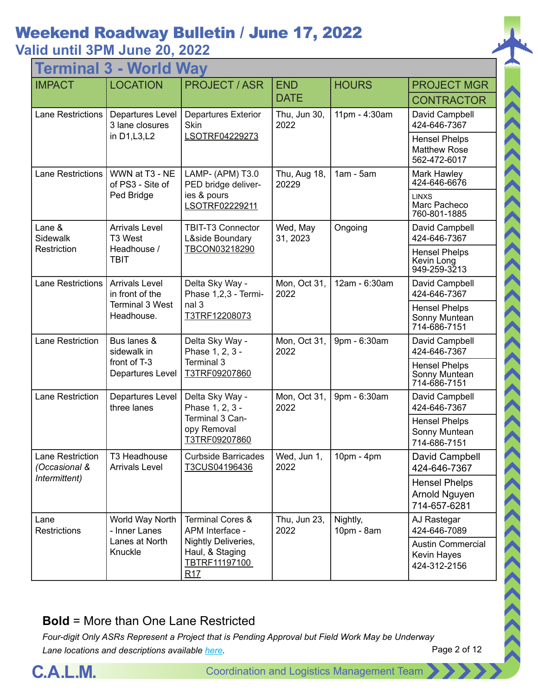## Weekend Roadway Bulletin / June 17, 2022

**Valid until 3PM June 20, 2022**

| - World Way<br><b>lermin</b>      |                                          |                                                                                       |                       |                        |                                                             |
|-----------------------------------|------------------------------------------|---------------------------------------------------------------------------------------|-----------------------|------------------------|-------------------------------------------------------------|
| <b>IMPACT</b>                     | <b>LOCATION</b>                          | <b>PROJECT / ASR</b>                                                                  | <b>END</b>            | <b>HOURS</b>           | <b>PROJECT MGR</b>                                          |
|                                   |                                          |                                                                                       | <b>DATE</b>           |                        | <b>CONTRACTOR</b>                                           |
| <b>Lane Restrictions</b>          | Departures Level<br>3 lane closures      | <b>Departures Exterior</b><br><b>Skin</b>                                             | Thu, Jun 30,<br>2022  | 11pm - 4:30am          | David Campbell<br>424-646-7367                              |
|                                   | in D1, L3, L2                            | LSOTRF04229273                                                                        |                       |                        | <b>Hensel Phelps</b><br><b>Matthew Rose</b><br>562-472-6017 |
| <b>Lane Restrictions</b>          | WWN at T3 - NE<br>of PS3 - Site of       | LAMP- (APM) T3.0<br>PED bridge deliver-                                               | Thu, Aug 18,<br>20229 | $1am - 5am$            | Mark Hawley<br>424-646-6676                                 |
|                                   | Ped Bridge                               | ies & pours<br>LSOTRF02229211                                                         |                       |                        | <b>LINXS</b><br>Marc Pacheco<br>760-801-1885                |
| Lane &<br>Sidewalk                | <b>Arrivals Level</b><br>T3 West         | TBIT-T3 Connector<br>L&side Boundary                                                  | Wed, May<br>31, 2023  | Ongoing                | David Campbell<br>424-646-7367                              |
| Restriction                       | Headhouse /<br><b>TBIT</b>               | TBCON03218290                                                                         |                       |                        | <b>Hensel Phelps</b><br>Kevin Long<br>949-259-3213          |
| <b>Lane Restrictions</b>          | <b>Arrivals Level</b><br>in front of the | Delta Sky Way -<br>Phase 1,2,3 - Termi-<br>nal 3<br>T3TRF12208073                     | Mon, Oct 31,<br>2022  | 12am - 6:30am          | David Campbell<br>424-646-7367                              |
|                                   | <b>Terminal 3 West</b><br>Headhouse.     |                                                                                       |                       |                        | <b>Hensel Phelps</b><br>Sonny Muntean<br>714-686-7151       |
| Lane Restriction                  | Bus lanes &<br>sidewalk in               | Delta Sky Way -<br>Phase 1, 2, 3 -<br>Terminal 3<br>T3TRF09207860                     | Mon, Oct 31,<br>2022  | 9pm - 6:30am           | David Campbell<br>424-646-7367                              |
|                                   | front of T-3<br>Departures Level         |                                                                                       |                       |                        | <b>Hensel Phelps</b><br>Sonny Muntean<br>714-686-7151       |
| <b>Lane Restriction</b>           | Departures Level<br>three lanes          | Delta Sky Way -<br>Phase 1, 2, 3 -<br>Terminal 3 Can-<br>opy Removal<br>T3TRF09207860 | Mon, Oct 31,<br>2022  | 9pm - 6:30am           | David Campbell<br>424-646-7367                              |
|                                   |                                          |                                                                                       |                       |                        | <b>Hensel Phelps</b><br>Sonny Muntean<br>714-686-7151       |
| Lane Restriction<br>(Occasional & | T3 Headhouse<br><b>Arrivals Level</b>    | <b>Curbside Barricades</b><br>T3CUS04196436                                           | Wed, Jun 1,<br>2022   | 10pm - 4pm             | David Campbell<br>424-646-7367                              |
| Intermittent)                     |                                          |                                                                                       |                       |                        | <b>Hensel Phelps</b><br>Arnold Nguyen<br>714-657-6281       |
| Lane<br><b>Restrictions</b>       | World Way North<br>- Inner Lanes         | <b>Terminal Cores &amp;</b><br>APM Interface -                                        | Thu, Jun 23,<br>2022  | Nightly,<br>10pm - 8am | AJ Rastegar<br>424-646-7089                                 |
|                                   | Lanes at North<br>Knuckle                | Nightly Deliveries,<br>Haul, & Staging<br>TBTRF11197100<br>R17                        |                       |                        | <b>Austin Commercial</b><br>Kevin Hayes<br>424-312-2156     |

#### **Bold** = More than One Lane Restricted

*Four-digit Only ASRs Represent a Project that is Pending Approval but Field Work May be Underway Lane locations and descriptions available [here](http://slaxadgmss001/sites/CALMSHARE/Shared%20Documents/CTA_Lane_Descriptions.pdf).*



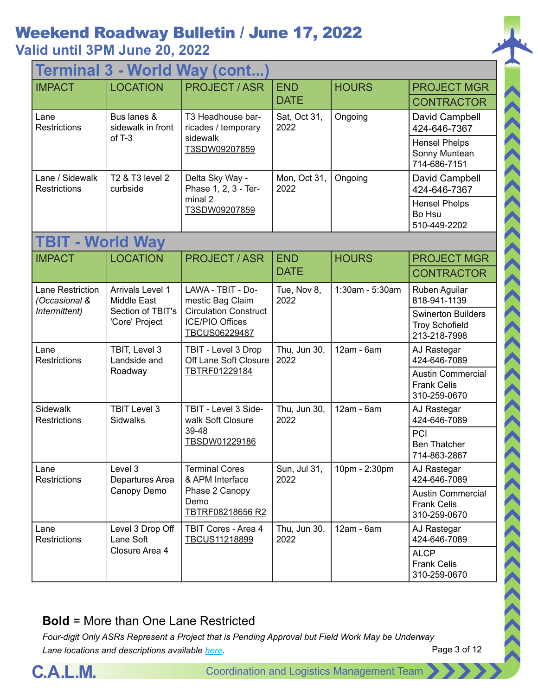| <b>Terminal 3 - World Way (cont</b>    |                                                                                                |                                                                                                                         |                      |                 |                                                                    |  |  |
|----------------------------------------|------------------------------------------------------------------------------------------------|-------------------------------------------------------------------------------------------------------------------------|----------------------|-----------------|--------------------------------------------------------------------|--|--|
| <b>IMPACT</b>                          | <b>LOCATION</b>                                                                                | <b>PROJECT/ASR</b>                                                                                                      | <b>END</b>           | <b>HOURS</b>    | <b>PROJECT MGR</b>                                                 |  |  |
|                                        |                                                                                                |                                                                                                                         | <b>DATE</b>          |                 | <b>CONTRACTOR</b>                                                  |  |  |
| Lane<br><b>Restrictions</b>            | Bus lanes &<br>sidewalk in front                                                               | T3 Headhouse bar-<br>ricades / temporary                                                                                | Sat, Oct 31,<br>2022 | Ongoing         | David Campbell<br>424-646-7367                                     |  |  |
|                                        | of $T-3$                                                                                       | sidewalk<br>T3SDW09207859                                                                                               |                      |                 | <b>Hensel Phelps</b><br>Sonny Muntean<br>714-686-7151              |  |  |
| Lane / Sidewalk<br><b>Restrictions</b> | T2 & T3 level 2<br>curbside                                                                    | Delta Sky Way -<br>Phase 1, 2, 3 - Ter-                                                                                 | Mon, Oct 31,<br>2022 | Ongoing         | David Campbell<br>424-646-7367                                     |  |  |
|                                        |                                                                                                | minal 2<br>T3SDW09207859                                                                                                |                      |                 | <b>Hensel Phelps</b><br>Bo Hsu<br>510-449-2202                     |  |  |
| <b>TBIT - World Way</b>                |                                                                                                |                                                                                                                         |                      |                 |                                                                    |  |  |
| <b>IMPACT</b>                          | <b>LOCATION</b>                                                                                | <b>PROJECT / ASR</b>                                                                                                    | <b>END</b>           | <b>HOURS</b>    | <b>PROJECT MGR</b>                                                 |  |  |
|                                        |                                                                                                |                                                                                                                         | <b>DATE</b>          |                 | <b>CONTRACTOR</b>                                                  |  |  |
| Lane Restriction<br>(Occasional &      | Arrivals Level 1<br><b>Middle East</b><br>Section of TBIT's<br>Intermittent)<br>'Core' Project | LAWA - TBIT - Do-<br>mestic Bag Claim<br><b>Circulation Construct</b><br><b>ICE/PIO Offices</b><br><b>TBCUS06229487</b> | Tue, Nov 8,<br>2022  | 1:30am - 5:30am | Ruben Aguilar<br>818-941-1139                                      |  |  |
|                                        |                                                                                                |                                                                                                                         |                      |                 | <b>Swinerton Builders</b><br><b>Troy Schofield</b><br>213-218-7998 |  |  |
| Lane<br><b>Restrictions</b>            | TBIT, Level 3<br>Landside and                                                                  | TBIT - Level 3 Drop<br>Off Lane Soft Closure<br>TBTRF01229184                                                           | Thu, Jun 30,<br>2022 | 12am - 6am      | AJ Rastegar<br>424-646-7089                                        |  |  |
|                                        | Roadway                                                                                        |                                                                                                                         |                      |                 | <b>Austin Commercial</b><br><b>Frank Celis</b><br>310-259-0670     |  |  |
| Sidewalk<br>Restrictions               | <b>TBIT Level 3</b><br><b>Sidwalks</b>                                                         | TBIT - Level 3 Side-<br>walk Soft Closure                                                                               | Thu, Jun 30,<br>2022 | $12am - 6am$    | AJ Rastegar<br>424-646-7089                                        |  |  |
|                                        |                                                                                                | 39-48<br>TBSDW01229186                                                                                                  |                      |                 | PCI<br><b>Ben Thatcher</b><br>714-863-2867                         |  |  |
| Lane<br><b>Restrictions</b>            | Level 3<br>Departures Area                                                                     | <b>Terminal Cores</b><br>& APM Interface                                                                                | Sun, Jul 31,<br>2022 | 10pm - 2:30pm   | AJ Rastegar<br>424-646-7089                                        |  |  |
|                                        | Canopy Demo                                                                                    | Phase 2 Canopy<br>Demo<br>TBTRF08218656 R2                                                                              |                      |                 | <b>Austin Commercial</b><br><b>Frank Celis</b><br>310-259-0670     |  |  |
| Lane<br>Restrictions                   | Level 3 Drop Off<br>Lane Soft                                                                  | TBIT Cores - Area 4<br>TBCUS11218899                                                                                    | Thu, Jun 30,<br>2022 | $12am - 6am$    | AJ Rastegar<br>424-646-7089                                        |  |  |
|                                        | Closure Area 4                                                                                 |                                                                                                                         |                      |                 | <b>ALCP</b><br><b>Frank Celis</b><br>310-259-0670                  |  |  |

#### **Bold** = More than One Lane Restricted

*Four-digit Only ASRs Represent a Project that is Pending Approval but Field Work May be Underway Lane locations and descriptions available [here](http://slaxadgmss001/sites/CALMSHARE/Shared%20Documents/CTA_Lane_Descriptions.pdf).*



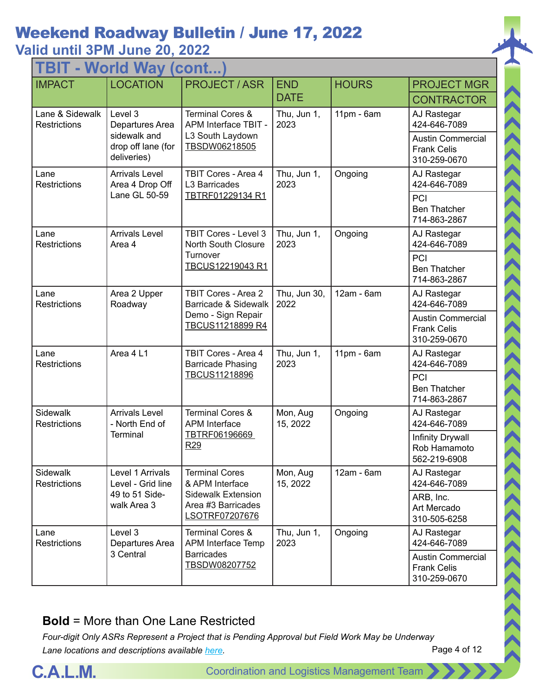| TBIT - World Way (cont.                |                                                                                 |                                                                                              |                      |              |                                                                                               |  |  |  |
|----------------------------------------|---------------------------------------------------------------------------------|----------------------------------------------------------------------------------------------|----------------------|--------------|-----------------------------------------------------------------------------------------------|--|--|--|
| <b>IMPACT</b>                          | <b>LOCATION</b>                                                                 | <b>PROJECT / ASR</b>                                                                         | <b>END</b>           | <b>HOURS</b> | <b>PROJECT MGR</b>                                                                            |  |  |  |
|                                        |                                                                                 |                                                                                              | <b>DATE</b>          |              | <b>CONTRACTOR</b>                                                                             |  |  |  |
| Lane & Sidewalk<br><b>Restrictions</b> | Level 3<br>Departures Area<br>sidewalk and<br>drop off lane (for<br>deliveries) | <b>Terminal Cores &amp;</b><br>APM Interface TBIT -<br>L3 South Laydown<br>TBSDW06218505     | Thu, Jun 1,<br>2023  | $11pm - 6am$ | AJ Rastegar<br>424-646-7089<br><b>Austin Commercial</b><br><b>Frank Celis</b><br>310-259-0670 |  |  |  |
| Lane<br><b>Restrictions</b>            | <b>Arrivals Level</b><br>Area 4 Drop Off                                        | TBIT Cores - Area 4<br>L3 Barricades                                                         | Thu, Jun 1,<br>2023  | Ongoing      | AJ Rastegar<br>424-646-7089                                                                   |  |  |  |
|                                        | Lane GL 50-59                                                                   | TBTRF01229134 R1                                                                             |                      |              | PCI<br><b>Ben Thatcher</b><br>714-863-2867                                                    |  |  |  |
| Lane<br><b>Restrictions</b>            | <b>Arrivals Level</b><br>Area 4                                                 | TBIT Cores - Level 3<br><b>North South Closure</b>                                           | Thu, Jun 1,<br>2023  | Ongoing      | AJ Rastegar<br>424-646-7089                                                                   |  |  |  |
|                                        |                                                                                 | Turnover<br>TBCUS12219043 R1                                                                 |                      |              | PCI<br><b>Ben Thatcher</b><br>714-863-2867                                                    |  |  |  |
| Lane<br>Restrictions                   | Area 2 Upper<br>Roadway                                                         | <b>TBIT Cores - Area 2</b><br>Barricade & Sidewalk<br>Demo - Sign Repair<br>TBCUS11218899 R4 | Thu, Jun 30,<br>2022 | 12am - 6am   | AJ Rastegar<br>424-646-7089                                                                   |  |  |  |
|                                        |                                                                                 |                                                                                              |                      |              | <b>Austin Commercial</b><br><b>Frank Celis</b><br>310-259-0670                                |  |  |  |
| Lane<br>Restrictions                   | Area 4 L1                                                                       | TBIT Cores - Area 4<br><b>Barricade Phasing</b><br>TBCUS11218896                             | Thu, Jun 1,<br>2023  | 11pm - 6am   | AJ Rastegar<br>424-646-7089                                                                   |  |  |  |
|                                        |                                                                                 |                                                                                              |                      |              | PCI<br><b>Ben Thatcher</b><br>714-863-2867                                                    |  |  |  |
| Sidewalk<br>Restrictions               | <b>Arrivals Level</b><br>- North End of                                         | <b>Terminal Cores &amp;</b><br><b>APM</b> Interface                                          | Mon, Aug<br>15, 2022 | Ongoing      | AJ Rastegar<br>424-646-7089                                                                   |  |  |  |
|                                        | Terminal                                                                        | TBTRF06196669<br>R <sub>29</sub>                                                             |                      |              | Infinity Drywall<br>Rob Hamamoto<br>562-219-6908                                              |  |  |  |
| Sidewalk<br><b>Restrictions</b>        | Level 1 Arrivals<br>Level - Grid line                                           | <b>Terminal Cores</b><br>& APM Interface                                                     | Mon, Aug<br>15, 2022 | 12am - 6am   | AJ Rastegar<br>424-646-7089                                                                   |  |  |  |
|                                        | 49 to 51 Side-<br>walk Area 3                                                   | <b>Sidewalk Extension</b><br>Area #3 Barricades<br>LSOTRF07207676                            |                      |              | ARB, Inc.<br>Art Mercado<br>310-505-6258                                                      |  |  |  |
| Lane<br><b>Restrictions</b>            | Level 3<br>Departures Area                                                      | <b>Terminal Cores &amp;</b><br>APM Interface Temp                                            | Thu, Jun 1,<br>2023  | Ongoing      | AJ Rastegar<br>424-646-7089                                                                   |  |  |  |
|                                        | 3 Central                                                                       | <b>Barricades</b><br>TBSDW08207752                                                           |                      |              | <b>Austin Commercial</b><br><b>Frank Celis</b><br>310-259-0670                                |  |  |  |

#### **Bold** = More than One Lane Restricted

*Four-digit Only ASRs Represent a Project that is Pending Approval but Field Work May be Underway Lane locations and descriptions available [here](http://slaxadgmss001/sites/CALMSHARE/Shared%20Documents/CTA_Lane_Descriptions.pdf).*



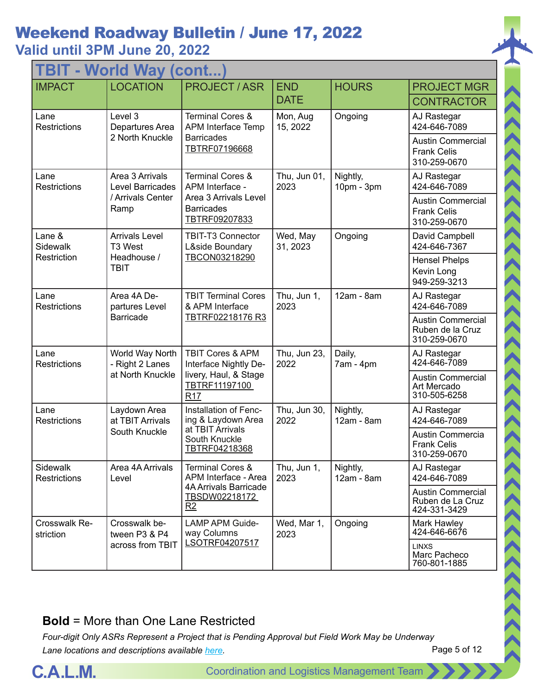| <b>TBIT - World Way (cont</b>   |                                                   |                                                                                                       |                      |                        |                                                                |  |  |
|---------------------------------|---------------------------------------------------|-------------------------------------------------------------------------------------------------------|----------------------|------------------------|----------------------------------------------------------------|--|--|
| <b>IMPACT</b>                   | <b>LOCATION</b>                                   | <b>PROJECT / ASR</b>                                                                                  | <b>END</b>           | <b>HOURS</b>           | <b>PROJECT MGR</b>                                             |  |  |
|                                 |                                                   |                                                                                                       | <b>DATE</b>          |                        | <b>CONTRACTOR</b>                                              |  |  |
| Lane<br>Restrictions            | Level 3<br>Departures Area                        | <b>Terminal Cores &amp;</b><br>APM Interface Temp                                                     | Mon, Aug<br>15, 2022 | Ongoing                | AJ Rastegar<br>424-646-7089                                    |  |  |
|                                 | 2 North Knuckle                                   | <b>Barricades</b><br>TBTRF07196668                                                                    |                      |                        | <b>Austin Commercial</b><br><b>Frank Celis</b><br>310-259-0670 |  |  |
| Lane<br><b>Restrictions</b>     | Area 3 Arrivals<br><b>Level Barricades</b>        | <b>Terminal Cores &amp;</b><br>APM Interface -                                                        | Thu, Jun 01,<br>2023 | Nightly,<br>10pm - 3pm | AJ Rastegar<br>424-646-7089                                    |  |  |
|                                 | / Arrivals Center<br>Ramp                         | Area 3 Arrivals Level<br><b>Barricades</b><br>TBTRF09207833                                           |                      |                        | <b>Austin Commercial</b><br><b>Frank Celis</b><br>310-259-0670 |  |  |
| Lane &<br>Sidewalk              | <b>Arrivals Level</b><br>T3 West                  | TBIT-T3 Connector<br>L&side Boundary                                                                  | Wed, May<br>31, 2023 | Ongoing                | David Campbell<br>424-646-7367                                 |  |  |
| Restriction                     | Headhouse /<br><b>TBIT</b>                        | TBCON03218290                                                                                         |                      |                        | <b>Hensel Phelps</b><br>Kevin Long<br>949-259-3213             |  |  |
| Lane<br><b>Restrictions</b>     | Area 4A De-<br>partures Level<br><b>Barricade</b> | <b>TBIT Terminal Cores</b><br>& APM Interface<br>TBTRF02218176 R3                                     | Thu, Jun 1,<br>2023  | 12am - 8am             | AJ Rastegar<br>424-646-7089                                    |  |  |
|                                 |                                                   |                                                                                                       |                      |                        | <b>Austin Commercial</b><br>Ruben de la Cruz<br>310-259-0670   |  |  |
| Lane<br><b>Restrictions</b>     | World Way North<br>- Right 2 Lanes                | <b>TBIT Cores &amp; APM</b><br>Interface Nightly De-<br>livery, Haul, & Stage<br>TBTRF11197100<br>R17 | Thu, Jun 23,<br>2022 | Daily,<br>7am - 4pm    | AJ Rastegar<br>424-646-7089                                    |  |  |
|                                 | at North Knuckle                                  |                                                                                                       |                      |                        | <b>Austin Commercial</b><br>Art Mercado<br>310-505-6258        |  |  |
| Lane<br>Restrictions            | Laydown Area<br>at TBIT Arrivals                  | Installation of Fenc-<br>ing & Laydown Area                                                           | Thu, Jun 30,<br>2022 | Nightly,<br>12am - 8am | AJ Rastegar<br>424-646-7089                                    |  |  |
|                                 | South Knuckle                                     | at TBIT Arrivals<br>South Knuckle<br>TBTRF04218368                                                    |                      |                        | Austin Commercia<br><b>Frank Celis</b><br>310-259-0670         |  |  |
| Sidewalk<br><b>Restrictions</b> | Area 4A Arrivals<br>Level                         | <b>Terminal Cores &amp;</b><br>APM Interface - Area                                                   | Thu, Jun 1,<br>2023  | Nightly,<br>12am - 8am | AJ Rastegar<br>424-646-7089                                    |  |  |
|                                 |                                                   | <b>4A Arrivals Barricade</b><br>TBSDW02218172<br>R2                                                   |                      |                        | <b>Austin Commercial</b><br>Ruben de La Cruz<br>424-331-3429   |  |  |
| Crosswalk Re-<br>striction      | Crosswalk be-<br>tween P3 & P4                    | <b>LAMP APM Guide-</b><br>way Columns                                                                 | Wed, Mar 1,<br>2023  | Ongoing                | Mark Hawley<br>424-646-6676                                    |  |  |
|                                 | across from TBIT                                  | LSOTRF04207517                                                                                        |                      |                        | <b>LINXS</b><br>Marc Pacheco<br>760-801-1885                   |  |  |

#### **Bold** = More than One Lane Restricted

*Four-digit Only ASRs Represent a Project that is Pending Approval but Field Work May be Underway Lane locations and descriptions available [here](http://slaxadgmss001/sites/CALMSHARE/Shared%20Documents/CTA_Lane_Descriptions.pdf).*



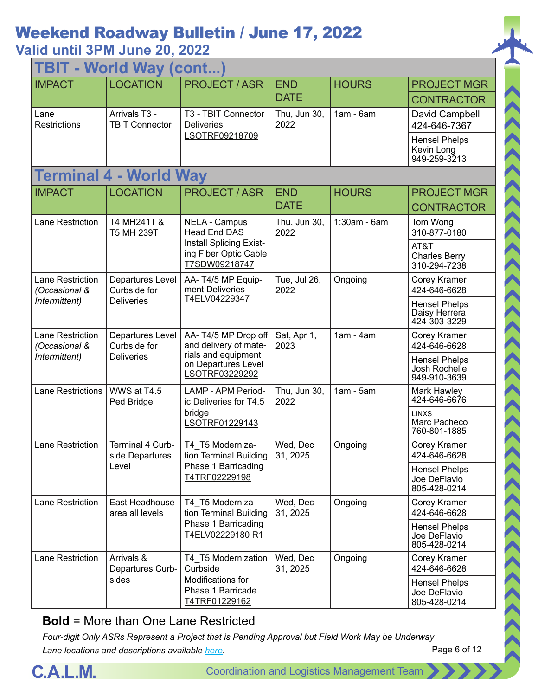| TBIT - World Way (cont)                  |                                        |                                                                                                              |                      |                |                                                       |  |  |
|------------------------------------------|----------------------------------------|--------------------------------------------------------------------------------------------------------------|----------------------|----------------|-------------------------------------------------------|--|--|
| <b>IMPACT</b>                            | <b>LOCATION</b>                        | <b>PROJECT/ASR</b>                                                                                           | <b>END</b>           | <b>HOURS</b>   | <b>PROJECT MGR</b>                                    |  |  |
|                                          |                                        |                                                                                                              | <b>DATE</b>          |                | <b>CONTRACTOR</b>                                     |  |  |
| Lane<br><b>Restrictions</b>              | Arrivals T3 -<br><b>TBIT Connector</b> | T3 - TBIT Connector<br><b>Deliveries</b>                                                                     | Thu, Jun 30,<br>2022 | $1am - 6am$    | David Campbell<br>424-646-7367                        |  |  |
|                                          |                                        | LSOTRF09218709                                                                                               |                      |                | <b>Hensel Phelps</b><br>Kevin Long<br>949-259-3213    |  |  |
|                                          | Terminal 4 - World Way                 |                                                                                                              |                      |                |                                                       |  |  |
| <b>IMPACT</b>                            | <b>LOCATION</b>                        | <b>PROJECT/ASR</b>                                                                                           | <b>END</b>           | <b>HOURS</b>   | <b>PROJECT MGR</b>                                    |  |  |
|                                          |                                        |                                                                                                              | <b>DATE</b>          |                | <b>CONTRACTOR</b>                                     |  |  |
| Lane Restriction                         | T4 MH241T &<br>T5 MH 239T              | <b>NELA - Campus</b><br><b>Head End DAS</b>                                                                  | Thu, Jun 30,<br>2022 | $1:30am - 6am$ | Tom Wong<br>310-877-0180                              |  |  |
|                                          |                                        | Install Splicing Exist-<br>ing Fiber Optic Cable<br>T7SDW09218747                                            |                      |                | AT&T<br><b>Charles Berry</b><br>310-294-7238          |  |  |
| <b>Lane Restriction</b><br>(Occasional & | Departures Level<br>Curbside for       | AA-T4/5 MP Equip-<br>ment Deliveries<br>T4ELV04229347                                                        | Tue, Jul 26,<br>2022 | Ongoing        | Corey Kramer<br>424-646-6628                          |  |  |
| Intermittent)                            | <b>Deliveries</b>                      |                                                                                                              |                      |                | <b>Hensel Phelps</b><br>Daisy Herrera<br>424-303-3229 |  |  |
| Lane Restriction<br>(Occasional &        | Departures Level<br>Curbside for       | AA-T4/5 MP Drop off<br>and delivery of mate-<br>rials and equipment<br>on Departures Level<br>LSOTRF03229292 | Sat, Apr 1,<br>2023  | $1am - 4am$    | Corey Kramer<br>424-646-6628                          |  |  |
| Intermittent)                            | <b>Deliveries</b>                      |                                                                                                              |                      |                | <b>Hensel Phelps</b><br>Josh Rochelle<br>949-910-3639 |  |  |
| <b>Lane Restrictions</b>                 | WWS at T4.5<br>Ped Bridge              | LAMP - APM Period-<br>ic Deliveries for T4.5<br>bridge<br>LSOTRF01229143                                     | Thu, Jun 30,<br>2022 | $1am - 5am$    | Mark Hawley<br>424-646-6676                           |  |  |
|                                          |                                        |                                                                                                              |                      |                | <b>LINXS</b><br>Marc Pacheco<br>760-801-1885          |  |  |
| Lane Restriction                         | Terminal 4 Curb-<br>side Departures    | T4 T5 Moderniza-<br>tion Terminal Building                                                                   | Wed, Dec<br>31, 2025 | Ongoing        | Corey Kramer<br>424-646-6628                          |  |  |
|                                          | Level                                  | Phase 1 Barricading<br>T4TRF02229198                                                                         |                      |                | <b>Hensel Phelps</b><br>Joe DeFlavio<br>805-428-0214  |  |  |
| Lane Restriction                         | East Headhouse<br>area all levels      | T4_T5 Moderniza-<br>tion Terminal Building                                                                   | Wed, Dec<br>31, 2025 | Ongoing        | Corey Kramer<br>424-646-6628                          |  |  |
|                                          |                                        | Phase 1 Barricading<br>T4ELV02229180 R1                                                                      |                      |                | <b>Hensel Phelps</b><br>Joe DeFlavio<br>805-428-0214  |  |  |
| Lane Restriction                         | Arrivals &<br>Departures Curb-         | T4 T5 Modernization<br>Curbside                                                                              | Wed, Dec<br>31, 2025 | Ongoing        | Corey Kramer<br>424-646-6628                          |  |  |
|                                          | sides                                  | Modifications for<br>Phase 1 Barricade<br>T4TRF01229162                                                      |                      |                | <b>Hensel Phelps</b><br>Joe DeFlavio<br>805-428-0214  |  |  |

#### **Bold** = More than One Lane Restricted

*Four-digit Only ASRs Represent a Project that is Pending Approval but Field Work May be Underway Lane locations and descriptions available [here](http://slaxadgmss001/sites/CALMSHARE/Shared%20Documents/CTA_Lane_Descriptions.pdf).*



ハイハイス くくくくくくくくくくくくくくくくくくく

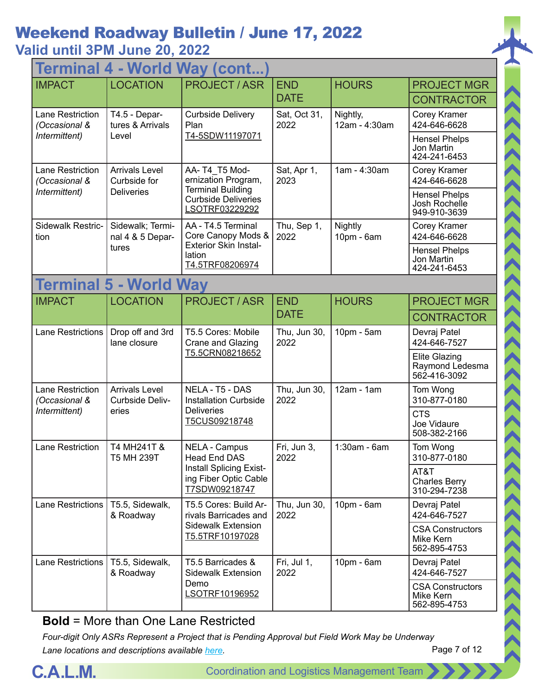| <b>World Way (cont.</b><br>Termina |                                                   |                                                                                       |                      |                           |                                                         |  |  |  |  |
|------------------------------------|---------------------------------------------------|---------------------------------------------------------------------------------------|----------------------|---------------------------|---------------------------------------------------------|--|--|--|--|
| <b>IMPACT</b>                      | <b>LOCATION</b>                                   | <b>PROJECT/ASR</b>                                                                    | <b>END</b>           | <b>HOURS</b>              | <b>PROJECT MGR</b>                                      |  |  |  |  |
|                                    |                                                   |                                                                                       | <b>DATE</b>          |                           | <b>CONTRACTOR</b>                                       |  |  |  |  |
| Lane Restriction<br>(Occasional &  | T4.5 - Depar-<br>tures & Arrivals                 | <b>Curbside Delivery</b><br>Plan                                                      | Sat, Oct 31,<br>2022 | Nightly,<br>12am - 4:30am | Corey Kramer<br>424-646-6628                            |  |  |  |  |
| Intermittent)                      | Level                                             | T4-5SDW11197071                                                                       |                      |                           | <b>Hensel Phelps</b><br>Jon Martin<br>424-241-6453      |  |  |  |  |
| Lane Restriction<br>(Occasional &  | <b>Arrivals Level</b><br>Curbside for             | AA-T4 T5 Mod-<br>ernization Program,                                                  | Sat, Apr 1,<br>2023  | 1am - 4:30am              | Corey Kramer<br>424-646-6628                            |  |  |  |  |
| Intermittent)                      | <b>Deliveries</b>                                 | <b>Terminal Building</b><br><b>Curbside Deliveries</b><br>LSOTRF03229292              |                      |                           | <b>Hensel Phelps</b><br>Josh Rochelle<br>949-910-3639   |  |  |  |  |
| Sidewalk Restric-<br>tion          | Sidewalk; Termi-<br>nal 4 & 5 Depar-              | AA - T4.5 Terminal<br>Core Canopy Mods &                                              | Thu, Sep 1,<br>2022  | Nightly<br>10pm - 6am     | Corey Kramer<br>424-646-6628                            |  |  |  |  |
|                                    | tures                                             | <b>Exterior Skin Instal-</b><br>lation<br>T4.5TRF08206974                             |                      |                           | <b>Hensel Phelps</b><br>Jon Martin<br>424-241-6453      |  |  |  |  |
|                                    | <b>Terminal 5 - World Way</b>                     |                                                                                       |                      |                           |                                                         |  |  |  |  |
| <b>IMPACT</b>                      | <b>LOCATION</b>                                   | <b>PROJECT / ASR</b>                                                                  | <b>END</b>           | <b>HOURS</b>              | <b>PROJECT MGR</b>                                      |  |  |  |  |
|                                    |                                                   |                                                                                       | <b>DATE</b>          |                           | <b>CONTRACTOR</b>                                       |  |  |  |  |
| <b>Lane Restrictions</b>           | Drop off and 3rd<br>lane closure                  | T5.5 Cores: Mobile<br>Crane and Glazing<br>T5.5CRN08218652                            | Thu, Jun 30,<br>2022 | 10pm - 5am                | Devraj Patel<br>424-646-7527                            |  |  |  |  |
|                                    |                                                   |                                                                                       |                      |                           | <b>Elite Glazing</b><br>Raymond Ledesma<br>562-416-3092 |  |  |  |  |
| Lane Restriction<br>(Occasional &  | <b>Arrivals Level</b><br>Curbside Deliv-<br>eries | NELA - T5 - DAS<br><b>Installation Curbside</b><br><b>Deliveries</b><br>T5CUS09218748 | Thu, Jun 30,<br>2022 | $12am - 1am$              | Tom Wong<br>310-877-0180                                |  |  |  |  |
| Intermittent)                      |                                                   |                                                                                       |                      |                           | <b>CTS</b><br>Joe Vidaure<br>508-382-2166               |  |  |  |  |
| Lane Restriction                   | T4 MH241T &<br>T5 MH 239T                         | <b>NELA - Campus</b><br>Head End DAS                                                  | Fri, Jun 3,<br>2022  | 1:30am - 6am              | Tom Wong<br>310-877-0180                                |  |  |  |  |
|                                    |                                                   | <b>Install Splicing Exist-</b><br>ing Fiber Optic Cable<br>T7SDW09218747              |                      |                           | AT&T<br><b>Charles Berry</b><br>310-294-7238            |  |  |  |  |
| Lane Restrictions                  | T5.5, Sidewalk,<br>& Roadway                      | T5.5 Cores: Build Ar-<br>rivals Barricades and                                        | Thu, Jun 30,<br>2022 | $10pm - 6am$              | Devraj Patel<br>424-646-7527                            |  |  |  |  |
|                                    |                                                   | <b>Sidewalk Extension</b><br>T5.5TRF10197028                                          |                      |                           | <b>CSA Constructors</b><br>Mike Kern<br>562-895-4753    |  |  |  |  |
| <b>Lane Restrictions</b>           | T5.5, Sidewalk,<br>& Roadway                      | T5.5 Barricades &<br><b>Sidewalk Extension</b>                                        | Fri, Jul 1,<br>2022  | $10pm - 6am$              | Devraj Patel<br>424-646-7527                            |  |  |  |  |
|                                    |                                                   | Demo<br>LSOTRF10196952                                                                |                      |                           | <b>CSA Constructors</b><br>Mike Kern<br>562-895-4753    |  |  |  |  |

**Bold** = More than One Lane Restricted

*Four-digit Only ASRs Represent a Project that is Pending Approval but Field Work May be Underway Lane locations and descriptions available [here](http://slaxadgmss001/sites/CALMSHARE/Shared%20Documents/CTA_Lane_Descriptions.pdf).*



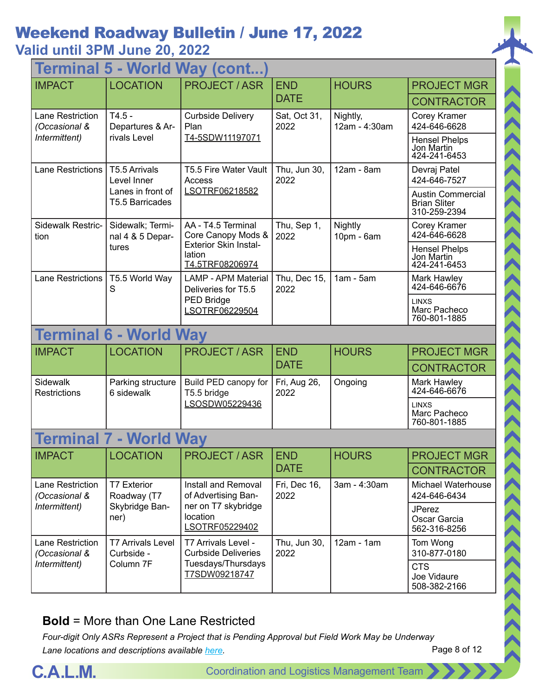| Terminal 5 - World Way (cont      |                                        |                                                                                          |                      |                           |                                                                 |  |  |  |  |  |
|-----------------------------------|----------------------------------------|------------------------------------------------------------------------------------------|----------------------|---------------------------|-----------------------------------------------------------------|--|--|--|--|--|
| <b>IMPACT</b>                     | <b>LOCATION</b>                        | <b>PROJECT / ASR</b>                                                                     | <b>END</b>           | <b>HOURS</b>              | <b>PROJECT MGR</b>                                              |  |  |  |  |  |
|                                   |                                        |                                                                                          | <b>DATE</b>          |                           | <b>CONTRACTOR</b>                                               |  |  |  |  |  |
| Lane Restriction<br>(Occasional & | $T4.5 -$<br>Departures & Ar-           | <b>Curbside Delivery</b><br>Plan                                                         | Sat, Oct 31,<br>2022 | Nightly,<br>12am - 4:30am | Corey Kramer<br>424-646-6628                                    |  |  |  |  |  |
| Intermittent)                     | rivals Level                           | T4-5SDW11197071                                                                          |                      |                           | <b>Hensel Phelps</b><br>Jon Martin<br>424-241-6453              |  |  |  |  |  |
| <b>Lane Restrictions</b>          | T5.5 Arrivals<br>Level Inner           | T5.5 Fire Water Vault<br>Access                                                          | Thu, Jun 30,<br>2022 | 12am - 8am                | Devraj Patel<br>424-646-7527                                    |  |  |  |  |  |
|                                   | Lanes in front of<br>T5.5 Barricades   | LSOTRF06218582                                                                           |                      |                           | <b>Austin Commercial</b><br><b>Brian Sliter</b><br>310-259-2394 |  |  |  |  |  |
| Sidewalk Restric-<br>tion         | Sidewalk; Termi-<br>nal 4 & 5 Depar-   | AA - T4.5 Terminal<br>Core Canopy Mods &                                                 | Thu, Sep 1,<br>2022  | Nightly<br>10pm - 6am     | Corey Kramer<br>424-646-6628                                    |  |  |  |  |  |
|                                   | tures                                  | <b>Exterior Skin Instal-</b><br>lation<br>T4.5TRF08206974                                |                      |                           | <b>Hensel Phelps</b><br>Jon Martin<br>424-241-6453              |  |  |  |  |  |
| Lane Restrictions                 | T5.5 World Way<br>S                    | <b>LAMP - APM Material</b><br>Deliveries for T5.5<br><b>PED Bridge</b><br>LSOTRF06229504 | Thu, Dec 15,<br>2022 | $1am - 5am$               | Mark Hawley<br>424-646-6676                                     |  |  |  |  |  |
|                                   |                                        |                                                                                          |                      |                           | <b>LINXS</b><br>Marc Pacheco<br>760-801-1885                    |  |  |  |  |  |
|                                   | <b>Terminal 6 - World Way</b>          |                                                                                          |                      |                           |                                                                 |  |  |  |  |  |
| <b>IMPACT</b>                     | <b>LOCATION</b>                        | <b>PROJECT / ASR</b>                                                                     | <b>END</b>           | <b>HOURS</b>              | <b>PROJECT MGR</b>                                              |  |  |  |  |  |
|                                   |                                        |                                                                                          | <b>DATE</b>          |                           | <b>CONTRACTOR</b>                                               |  |  |  |  |  |
| Sidewalk<br>Restrictions          | Parking structure<br>6 sidewalk        | Build PED canopy for<br>T5.5 bridge<br>LSOSDW05229436                                    | Fri, Aug 26,<br>2022 | Ongoing                   | Mark Hawley<br>424-646-6676                                     |  |  |  |  |  |
|                                   |                                        |                                                                                          |                      |                           | <b>LINXS</b><br>Marc Pacheco<br>760-801-1885                    |  |  |  |  |  |
| <b>Terminal</b>                   | - World Way                            |                                                                                          |                      |                           |                                                                 |  |  |  |  |  |
| <b>IMPACT</b>                     | <b>LOCATION</b>                        | <b>PROJECT / ASR</b>                                                                     | <b>END</b>           | <b>HOURS</b>              | <b>PROJECT MGR</b>                                              |  |  |  |  |  |
|                                   |                                        |                                                                                          | <b>DATE</b>          |                           | <b>CONTRACTOR</b>                                               |  |  |  |  |  |
| Lane Restriction<br>(Occasional & | <b>T7 Exterior</b><br>Roadway (T7      | Install and Removal<br>of Advertising Ban-                                               | Fri, Dec 16,<br>2022 | 3am - 4:30am              | Michael Waterhouse<br>424-646-6434                              |  |  |  |  |  |
| Intermittent)                     | Skybridge Ban-<br>ner)                 | ner on T7 skybridge<br>location<br>LSOTRF05229402                                        |                      |                           | <b>JPerez</b><br>Oscar Garcia<br>562-316-8256                   |  |  |  |  |  |
| Lane Restriction<br>(Occasional & | <b>T7 Arrivals Level</b><br>Curbside - | T7 Arrivals Level -<br><b>Curbside Deliveries</b>                                        | Thu, Jun 30,<br>2022 | $12am - 1am$              | Tom Wong<br>310-877-0180                                        |  |  |  |  |  |
| Intermittent)                     | Column 7F                              | Tuesdays/Thursdays<br>T7SDW09218747                                                      |                      |                           | <b>CTS</b><br>Joe Vidaure<br>508-382-2166                       |  |  |  |  |  |

#### **Bold** = More than One Lane Restricted

Page 8 of 12 *Four-digit Only ASRs Represent a Project that is Pending Approval but Field Work May be Underway Lane locations and descriptions available [here](http://slaxadgmss001/sites/CALMSHARE/Shared%20Documents/CTA_Lane_Descriptions.pdf).*

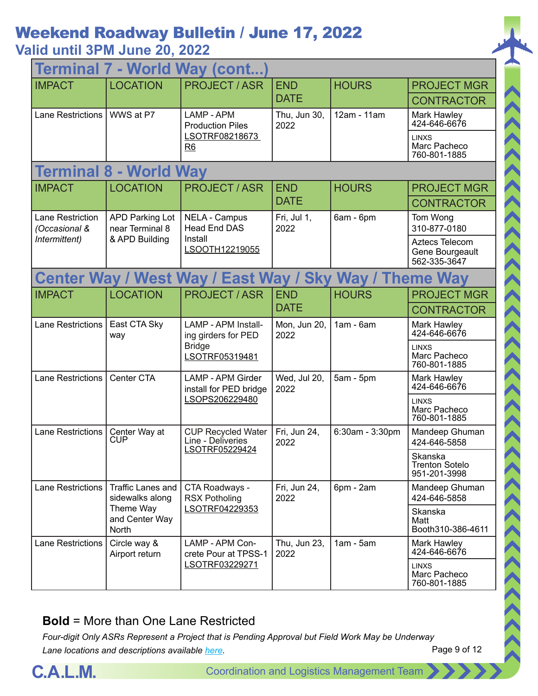# Weekend Roadway Bulletin / June 17, 2022

### **Valid until 3PM June 20, 2022**

| Terminal 7 - World Way (cont                                                      |                                             |                                                                               |                           |                                              |                                                   |  |
|-----------------------------------------------------------------------------------|---------------------------------------------|-------------------------------------------------------------------------------|---------------------------|----------------------------------------------|---------------------------------------------------|--|
| <b>IMPACT</b>                                                                     | <b>LOCATION</b>                             | <b>PROJECT / ASR</b>                                                          | <b>END</b>                | <b>HOURS</b>                                 | <b>PROJECT MGR</b>                                |  |
|                                                                                   |                                             |                                                                               | <b>DATE</b>               |                                              | <b>CONTRACTOR</b>                                 |  |
| <b>Lane Restrictions</b>                                                          | WWS at P7                                   | LAMP - APM<br><b>Production Piles</b>                                         | Thu, Jun 30,<br>2022      | 12am - 11am                                  | Mark Hawley<br>424-646-6676                       |  |
|                                                                                   |                                             | LSOTRF08218673<br>R6                                                          |                           |                                              | <b>LINXS</b><br>Marc Pacheco<br>760-801-1885      |  |
| <b>Terminal 8</b>                                                                 | <b>World Way</b><br>×,                      |                                                                               |                           |                                              |                                                   |  |
| <b>IMPACT</b>                                                                     | <b>LOCATION</b>                             | <b>PROJECT / ASR</b>                                                          | <b>END</b><br><b>DATE</b> | <b>HOURS</b>                                 | <b>PROJECT MGR</b>                                |  |
|                                                                                   |                                             |                                                                               |                           |                                              | <b>CONTRACTOR</b>                                 |  |
| <b>Lane Restriction</b><br>(Occasional &                                          | <b>APD Parking Lot</b><br>near Terminal 8   | <b>NELA - Campus</b><br><b>Head End DAS</b>                                   | Fri, Jul 1,<br>2022       | 6am - 6pm                                    | Tom Wong<br>310-877-0180                          |  |
| Intermittent)                                                                     | & APD Building                              | Install<br>LSOOTH12219055                                                     |                           |                                              | Aztecs Telecom<br>Gene Bourgeault<br>562-335-3647 |  |
| <b>Center Way / West Way / East Way /</b><br><b>Sky</b><br><b>Way / Theme Way</b> |                                             |                                                                               |                           |                                              |                                                   |  |
| <b>IMPACT</b>                                                                     | <b>LOCATION</b>                             | <b>PROJECT/ASR</b>                                                            | <b>END</b>                | <b>HOURS</b>                                 | <b>PROJECT MGR</b>                                |  |
|                                                                                   |                                             |                                                                               | <b>DATE</b>               |                                              | <b>CONTRACTOR</b>                                 |  |
| <b>Lane Restrictions</b>                                                          | East CTA Sky<br>way                         | LAMP - APM Install-<br>ing girders for PED<br><b>Bridge</b><br>LSOTRF05319481 | Mon, Jun 20,<br>2022      | $1am - 6am$                                  | Mark Hawley<br>424-646-6676                       |  |
|                                                                                   |                                             |                                                                               |                           |                                              | <b>LINXS</b><br>Marc Pacheco<br>760-801-1885      |  |
| <b>Lane Restrictions</b>                                                          | Center CTA                                  | <b>LAMP - APM Girder</b><br>install for PED bridge<br>LSOPS206229480          | Wed, Jul 20,<br>2022      | $5am - 5pm$                                  | Mark Hawley<br>424-646-6676                       |  |
|                                                                                   |                                             |                                                                               |                           |                                              | <b>LINXS</b><br>Marc Pacheco<br>760-801-1885      |  |
| <b>Lane Restrictions</b>                                                          | Center Way at<br>CUP                        | <b>CUP Recycled Water</b><br>Line - Deliveries<br>LSOTRF05229424              | Fri, Jun 24,<br>2022      | 6:30am - 3:30pm                              | Mandeep Ghuman<br>424-646-5858                    |  |
|                                                                                   |                                             |                                                                               |                           |                                              | Skanska<br><b>Trenton Sotelo</b><br>951-201-3998  |  |
| <b>Lane Restrictions</b>                                                          | <b>Traffic Lanes and</b><br>sidewalks along | CTA Roadways -<br><b>RSX Potholing</b>                                        | Fri, Jun 24,<br>2022      | 6pm - 2am                                    | Mandeep Ghuman<br>424-646-5858                    |  |
|                                                                                   | Theme Way<br>and Center Way<br>North        | LSOTRF04229353                                                                |                           |                                              | Skanska<br>Matt<br>Booth310-386-4611              |  |
| <b>Lane Restrictions</b>                                                          | Circle way &<br>Airport return              | LAMP - APM Con-<br>crete Pour at TPSS-1                                       | Thu, Jun 23,<br>2022      | $1am - 5am$                                  | Mark Hawley<br>424-646-6676                       |  |
| LSOTRF03229271                                                                    |                                             |                                                                               |                           | <b>LINXS</b><br>Marc Pacheco<br>760-801-1885 |                                                   |  |

#### **Bold** = More than One Lane Restricted

*Four-digit Only ASRs Represent a Project that is Pending Approval but Field Work May be Underway Lane locations and descriptions available [here](http://slaxadgmss001/sites/CALMSHARE/Shared%20Documents/CTA_Lane_Descriptions.pdf).*



ハイハイス くくくくくくくくくくくくくくくくくくくくくくくくくく

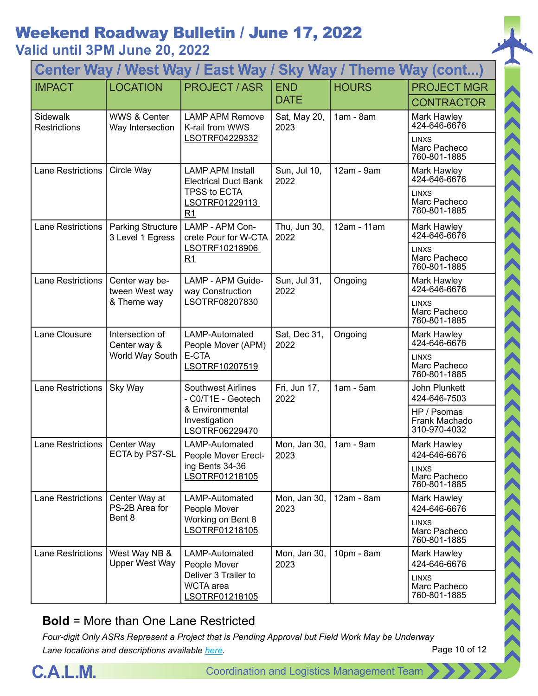|                          | Center Way / West Way / East Way / Sky Way / Theme Way (cont) |                                                                                                       |                           |              |                                                                                             |  |  |
|--------------------------|---------------------------------------------------------------|-------------------------------------------------------------------------------------------------------|---------------------------|--------------|---------------------------------------------------------------------------------------------|--|--|
| <b>IMPACT</b>            | <b>LOCATION</b>                                               | <b>PROJECT / ASR</b>                                                                                  | <b>END</b><br><b>DATE</b> | <b>HOURS</b> | <b>PROJECT MGR</b><br><b>CONTRACTOR</b>                                                     |  |  |
| Sidewalk<br>Restrictions | <b>WWS &amp; Center</b><br>Way Intersection                   | <b>LAMP APM Remove</b><br>K-rail from WWS<br>LSOTRF04229332                                           | Sat, May 20,<br>2023      | $1am - 8am$  | Mark Hawley<br>424-646-6676<br><b>LINXS</b><br>Marc Pacheco<br>760-801-1885                 |  |  |
| Lane Restrictions        | Circle Way                                                    | <b>LAMP APM Install</b><br><b>Electrical Duct Bank</b><br>TPSS to ECTA<br>LSOTRF01229113              | Sun, Jul 10,<br>2022      | 12am - 9am   | Mark Hawley<br>424-646-6676<br><b>LINXS</b><br>Marc Pacheco                                 |  |  |
| Lane Restrictions        | <b>Parking Structure</b><br>3 Level 1 Egress                  | R1<br>LAMP - APM Con-<br>crete Pour for W-CTA<br>LSOTRF10218906<br>R1                                 | Thu, Jun 30,<br>2022      | 12am - 11am  | 760-801-1885<br>Mark Hawley<br>424-646-6676<br><b>LINXS</b><br>Marc Pacheco<br>760-801-1885 |  |  |
| <b>Lane Restrictions</b> | Center way be-<br>tween West way<br>& Theme way               | LAMP - APM Guide-<br>way Construction<br>LSOTRF08207830                                               | Sun, Jul 31,<br>2022      | Ongoing      | Mark Hawley<br>424-646-6676<br><b>LINXS</b><br>Marc Pacheco<br>760-801-1885                 |  |  |
| Lane Clousure            | Intersection of<br>Center way &<br>World Way South            | LAMP-Automated<br>People Mover (APM)<br>E-CTA<br>LSOTRF10207519                                       | Sat, Dec 31,<br>2022      | Ongoing      | Mark Hawley<br>424-646-6676<br><b>LINXS</b><br>Marc Pacheco<br>760-801-1885                 |  |  |
| Lane Restrictions        | Sky Way                                                       | <b>Southwest Airlines</b><br>- C0/T1E - Geotech<br>& Environmental<br>Investigation<br>LSOTRF06229470 | Fri, Jun 17,<br>2022      | $1am - 5am$  | <b>John Plunkett</b><br>424-646-7503<br>HP / Psomas<br>Frank Machado<br>310-970-4032        |  |  |
| Lane Restrictions        | Center Way<br>ECTA by PS7-SL                                  | LAMP-Automated<br>People Mover Erect-<br>ing Bents 34-36<br>LSOTRF01218105                            | Mon, Jan 30,<br>2023      | $1am - 9am$  | Mark Hawley<br>424-646-6676<br><b>LINXS</b><br>Marc Pacheco<br>760-801-1885                 |  |  |
| <b>Lane Restrictions</b> | Center Way at<br>PS-2B Area for<br>Bent 8                     | LAMP-Automated<br>People Mover<br>Working on Bent 8<br>LSOTRF01218105                                 | Mon, Jan 30,<br>2023      | 12am - 8am   | Mark Hawley<br>424-646-6676<br><b>LINXS</b><br>Marc Pacheco<br>760-801-1885                 |  |  |
| <b>Lane Restrictions</b> | West Way NB &<br><b>Upper West Way</b>                        | LAMP-Automated<br>People Mover<br>Deliver 3 Trailer to<br><b>WCTA</b> area<br>LSOTRF01218105          | Mon, Jan 30,<br>2023      | 10pm - 8am   | Mark Hawley<br>424-646-6676<br><b>LINXS</b><br>Marc Pacheco<br>760-801-1885                 |  |  |

#### **Bold** = More than One Lane Restricted

*Four-digit Only ASRs Represent a Project that is Pending Approval but Field Work May be Underway Lane locations and descriptions available [here](http://slaxadgmss001/sites/CALMSHARE/Shared%20Documents/CTA_Lane_Descriptions.pdf).*



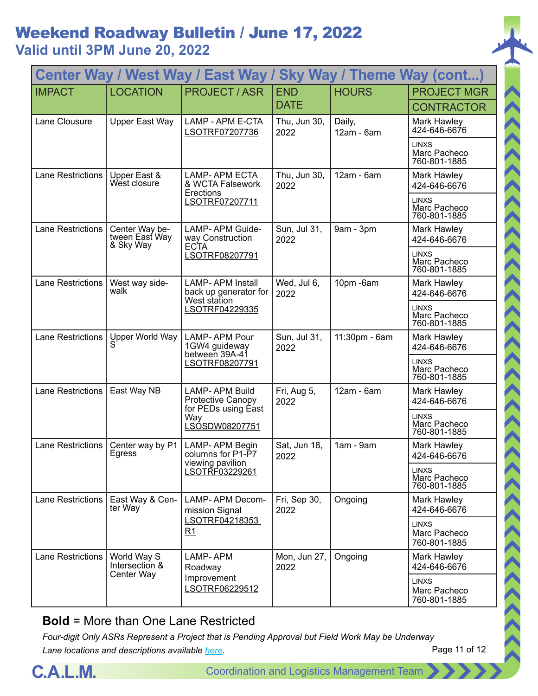| Center Way / West Way / East Way /<br><b>Sky Way / Theme Way (cont)</b> |                                               |                                                                          |                           |                                              |                                              |
|-------------------------------------------------------------------------|-----------------------------------------------|--------------------------------------------------------------------------|---------------------------|----------------------------------------------|----------------------------------------------|
| <b>IMPACT</b>                                                           | <b>LOCATION</b>                               | <b>PROJECT/ASR</b>                                                       | <b>END</b><br><b>DATE</b> | <b>HOURS</b>                                 | <b>PROJECT MGR</b><br><b>CONTRACTOR</b>      |
| Lane Clousure                                                           | Upper East Way                                | LAMP - APM E-CTA<br>LSOTRF07207736                                       | Thu, Jun 30,<br>2022      | Daily,<br>12am - 6am                         | Mark Hawley<br>424-646-6676                  |
|                                                                         |                                               |                                                                          |                           |                                              | <b>LINXS</b><br>Marc Pacheco<br>760-801-1885 |
| <b>Lane Restrictions</b>                                                | Upper East &<br>West closure                  | <b>LAMP-APM ECTA</b><br>& WCTA Falsework<br>Erections                    | Thu, Jun 30,<br>2022      | 12am - 6am                                   | Mark Hawley<br>424-646-6676                  |
|                                                                         |                                               | LSOTRF07207711                                                           |                           |                                              | <b>LINXS</b><br>Marc Pacheco<br>760-801-1885 |
| <b>Lane Restrictions</b>                                                | Center Way be-<br>tween Easť Way<br>& Sky Way | LAMP-APM Guide-<br>way Construction<br><b>ECTA</b>                       | Sun, Jul 31,<br>2022      | 9am - 3pm                                    | Mark Hawley<br>424-646-6676                  |
|                                                                         |                                               | LSOTRF08207791                                                           |                           |                                              | <b>LINXS</b><br>Marc Pacheco<br>760-801-1885 |
| <b>Lane Restrictions</b>                                                | West way side-<br>walk                        | <b>LAMP-APM Install</b><br>back up generator for<br>West station         | Wed, Jul 6,<br>2022       | 10pm-6am                                     | Mark Hawley<br>424-646-6676                  |
|                                                                         |                                               | LSOTRF04229335                                                           |                           |                                              | <b>LINXS</b><br>Marc Pacheco<br>760-801-1885 |
| Lane Restrictions                                                       | Upper World Way                               | <b>LAMP-APM Pour</b><br>1GW4 guideway<br>between 39A-41                  | Sun, Jul 31,<br>2022      | 11:30pm - 6am                                | Mark Hawley<br>424-646-6676                  |
|                                                                         |                                               | LSOTRF08207791                                                           |                           |                                              | <b>LINXS</b><br>Marc Pacheco<br>760-801-1885 |
| Lane Restrictions                                                       | East Way NB                                   | <b>LAMP-APM Build</b><br><b>Protective Canopy</b><br>for PEDs using East | Fri, Aug 5,<br>2022       | 12am - 6am                                   | Mark Hawley<br>424-646-6676                  |
|                                                                         |                                               | Way<br>LSÓSDW08207751                                                    |                           |                                              | <b>LINXS</b><br>Marc Pacheco<br>760-801-1885 |
| Lane Restrictions                                                       | Center way by P1<br>Egress                    | LAMP-APM Begin<br>columns for P1-P7                                      | Sat, Jun 18,<br>2022      | $1am - 9am$                                  | Mark Hawley<br>424-646-6676                  |
|                                                                         |                                               | viewing pavilion<br>LSOTRF03229261                                       |                           |                                              | <b>LINXS</b><br>Marc Pacheco<br>760-801-1885 |
| <b>Lane Restrictions</b>                                                | East Way & Cen-<br>ter Way                    | LAMP-APM Decom-<br>mission Signal                                        | Fri, Sep 30,<br>2022      | Ongoing                                      | Mark Hawley<br>424-646-6676                  |
|                                                                         | R1                                            | LSOTRF04218353                                                           |                           |                                              | <b>LINXS</b><br>Marc Pacheco<br>760-801-1885 |
| <b>Lane Restrictions</b>                                                | World Way S<br>Intersection &                 | <b>LAMP-APM</b><br>Roadway                                               | Mon, Jun 27,<br>2022      | Ongoing                                      | Mark Hawley<br>424-646-6676                  |
| Center Way<br>Improvement                                               | LSOTRF06229512                                |                                                                          |                           | <b>LINXS</b><br>Marc Pacheco<br>760-801-1885 |                                              |

#### **Bold** = More than One Lane Restricted

*Four-digit Only ASRs Represent a Project that is Pending Approval but Field Work May be Underway Lane locations and descriptions available [here](http://slaxadgmss001/sites/CALMSHARE/Shared%20Documents/CTA_Lane_Descriptions.pdf).*